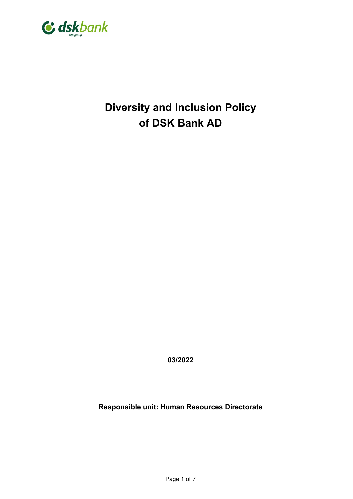

# Diversity and Inclusion Policy of DSK Bank AD

03/2022

Responsible unit: Human Resources Directorate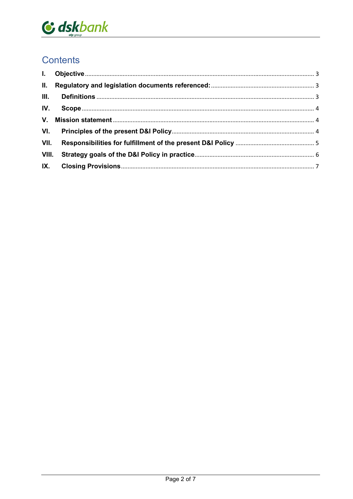

## **Contents**

| $\mathbf{L}$ |  |
|--------------|--|
| II.          |  |
| III.         |  |
| IV.          |  |
| V.           |  |
| VI.          |  |
|              |  |
| VIII.        |  |
|              |  |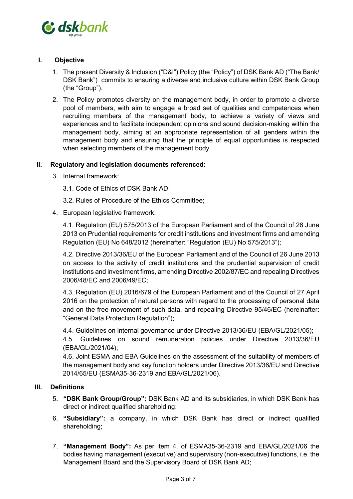

#### I. Objective

- 1. The present Diversity & Inclusion ("D&I") Policy (the "Policy") of DSK Bank AD ("The Bank/ DSK Bank") commits to ensuring a diverse and inclusive culture within DSK Bank Group (the "Group").
- 2. The Policy promotes diversity on the management body, in order to promote a diverse pool of members, with aim to engage a broad set of qualities and competences when recruiting members of the management body, to achieve a variety of views and experiences and to facilitate independent opinions and sound decision-making within the management body, aiming at an appropriate representation of all genders within the management body and ensuring that the principle of equal opportunities is respected when selecting members of the management body.

#### II. Regulatory and legislation documents referenced:

- 3. Internal framework:
	- 3.1. Code of Ethics of DSK Bank AD;
	- 3.2. Rules of Procedure of the Ethics Committee;
- 4. European legislative framework:

4.1. Regulation (EU) 575/2013 of the European Parliament and of the Council of 26 June 2013 on Prudential requirements for credit institutions and investment firms and amending Regulation (EU) No 648/2012 (hereinafter: "Regulation (EU) No 575/2013");

4.2. Directive 2013/36/EU of the European Parliament and of the Council of 26 June 2013 on access to the activity of credit institutions and the prudential supervision of credit institutions and investment firms, amending Directive 2002/87/EC and repealing Directives 2006/48/EC and 2006/49/EC;

4.3. Regulation (EU) 2016/679 of the European Parliament and of the Council of 27 April 2016 on the protection of natural persons with regard to the processing of personal data and on the free movement of such data, and repealing Directive 95/46/EC (hereinafter: "General Data Protection Regulation");

4.4. Guidelines on internal governance under Directive 2013/36/EU (EBA/GL/2021/05);

4.5. Guidelines on sound remuneration policies under Directive 2013/36/EU (EBA/GL/2021/04);

4.6. Joint ESMA and EBA Guidelines on the assessment of the suitability of members of the management body and key function holders under Directive 2013/36/EU and Directive 2014/65/EU (ESMA35-36-2319 and EBA/GL/2021/06).

#### III. Definitions

- 5. "DSK Bank Group/Group": DSK Bank AD and its subsidiaries, in which DSK Bank has direct or indirect qualified shareholding;
- 6. "Subsidiary": a company, in which DSK Bank has direct or indirect qualified shareholding;
- 7. "Management Body": As per item 4. of ESMA35-36-2319 and EBA/GL/2021/06 the bodies having management (executive) and supervisory (non-executive) functions, i.e. the Management Board and the Supervisory Board of DSK Bank AD;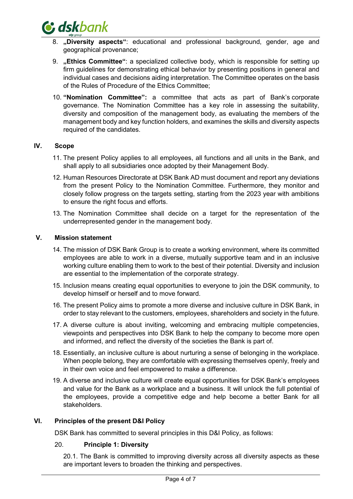

- 8. "Diversity aspects": educational and professional background, gender, age and geographical provenance;
- 9. "Ethics Committee": a specialized collective body, which is responsible for setting up firm guidelines for demonstrating ethical behavior by presenting positions in general and individual cases and decisions aiding interpretation. The Committee operates on the basis of the Rules of Procedure of the Ethics Committee;
- 10. "Nomination Committee": a committee that acts as part of Bank's corporate governance. The Nomination Committee has a key role in assessing the suitability, diversity and composition of the management body, as evaluating the members of the management body and key function holders, and examines the skills and diversity aspects required of the candidates.

#### IV. Scope

- 11. The present Policy applies to all employees, all functions and all units in the Bank, and shall apply to all subsidiaries once adopted by their Management Body.
- 12. Human Resources Directorate at DSK Bank AD must document and report any deviations from the present Policy to the Nomination Committee. Furthermore, they monitor and closely follow progress on the targets setting, starting from the 2023 year with ambitions to ensure the right focus and efforts.
- 13. The Nomination Committee shall decide on a target for the representation of the underrepresented gender in the management body.

#### V. Mission statement

- 14. The mission of DSK Bank Group is to create a working environment, where its committed employees are able to work in a diverse, mutually supportive team and in an inclusive working culture enabling them to work to the best of their potential. Diversity and inclusion are essential to the implementation of the corporate strategy.
- 15. Inclusion means creating equal opportunities to everyone to join the DSK community, to develop himself or herself and to move forward.
- 16. The present Policy aims to promote a more diverse and inclusive culture in DSK Bank, in order to stay relevant to the customers, employees, shareholders and society in the future.
- 17. A diverse culture is about inviting, welcoming and embracing multiple competencies, viewpoints and perspectives into DSK Bank to help the company to become more open and informed, and reflect the diversity of the societies the Bank is part of.
- 18. Essentially, an inclusive culture is about nurturing a sense of belonging in the workplace. When people belong, they are comfortable with expressing themselves openly, freely and in their own voice and feel empowered to make a difference.
- 19. A diverse and inclusive culture will create equal opportunities for DSK Bank's employees and value for the Bank as a workplace and a business. It will unlock the full potential of the employees, provide a competitive edge and help become a better Bank for all stakeholders.

#### VI. Principles of the present D&I Policy

DSK Bank has committed to several principles in this D&I Policy, as follows:

#### 20. Principle 1: Diversity

20.1. The Bank is committed to improving diversity across all diversity aspects as these are important levers to broaden the thinking and perspectives.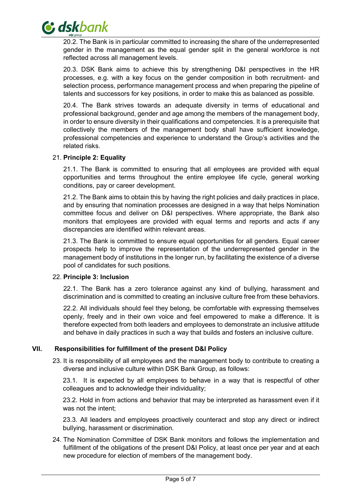

20.2. The Bank is in particular committed to increasing the share of the underrepresented gender in the management as the equal gender split in the general workforce is not reflected across all management levels.

20.3. DSK Bank aims to achieve this by strengthening D&I perspectives in the HR processes, e.g. with a key focus on the gender composition in both recruitment- and selection process, performance management process and when preparing the pipeline of talents and successors for key positions, in order to make this as balanced as possible.

20.4. The Bank strives towards an adequate diversity in terms of educational and professional background, gender and age among the members of the management body, in order to ensure diversity in their qualifications and competencies. It is a prerequisite that collectively the members of the management body shall have sufficient knowledge, professional competencies and experience to understand the Group's activities and the related risks.

#### 21. Principle 2: Equality

21.1. The Bank is committed to ensuring that all employees are provided with equal opportunities and terms throughout the entire employee life cycle, general working conditions, pay or career development.

21.2. The Bank aims to obtain this by having the right policies and daily practices in place, and by ensuring that nomination processes are designed in a way that helps Nomination committee focus and deliver on D&I perspectives. Where appropriate, the Bank also monitors that employees are provided with equal terms and reports and acts if any discrepancies are identified within relevant areas.

21.3. The Bank is committed to ensure equal opportunities for all genders. Equal career prospects help to improve the representation of the underrepresented gender in the management body of institutions in the longer run, by facilitating the existence of a diverse pool of candidates for such positions.

#### 22. Principle 3: Inclusion

22.1. The Bank has a zero tolerance against any kind of bullying, harassment and discrimination and is committed to creating an inclusive culture free from these behaviors.

22.2. All individuals should feel they belong, be comfortable with expressing themselves openly, freely and in their own voice and feel empowered to make a difference. It is therefore expected from both leaders and employees to demonstrate an inclusive attitude and behave in daily practices in such a way that builds and fosters an inclusive culture.

#### VII. Responsibilities for fulfillment of the present D&I Policy

23. It is responsibility of all employees and the management body to contribute to creating a diverse and inclusive culture within DSK Bank Group, as follows:

23.1. It is expected by all employees to behave in a way that is respectful of other colleagues and to acknowledge their individuality;

23.2. Hold in from actions and behavior that may be interpreted as harassment even if it was not the intent;

23.3. All leaders and employees proactively counteract and stop any direct or indirect bullying, harassment or discrimination.

24. The Nomination Committee of DSK Bank monitors and follows the implementation and fulfillment of the obligations of the present D&I Policy, at least once per year and at each new procedure for election of members of the management body.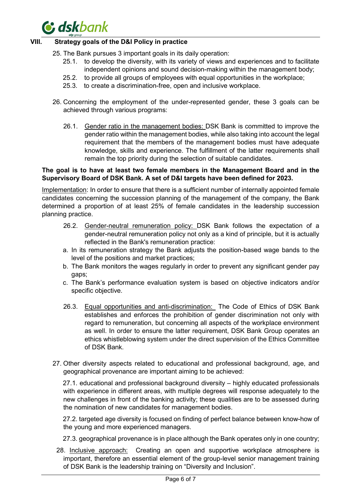

#### VIII. Strategy goals of the D&I Policy in practice

- 25. The Bank pursues 3 important goals in its daily operation:
	- 25.1. to develop the diversity, with its variety of views and experiences and to facilitate independent opinions and sound decision-making within the management body;
	- 25.2. to provide all groups of employees with equal opportunities in the workplace;
	- 25.3. to create a discrimination-free, open and inclusive workplace.
- 26. Concerning the employment of the under-represented gender, these 3 goals can be achieved through various programs:
	- 26.1. Gender ratio in the management bodies: DSK Bank is committed to improve the gender ratio within the management bodies, while also taking into account the legal requirement that the members of the management bodies must have adequate knowledge, skills and experience. The fulfillment of the latter requirements shall remain the top priority during the selection of suitable candidates.

#### The goal is to have at least two female members in the Management Board and in the Supervisory Board of DSK Bank. A set of D&I targets have been defined for 2023.

Implementation: In order to ensure that there is a sufficient number of internally appointed female candidates concerning the succession planning of the management of the company, the Bank determined a proportion of at least 25% of female candidates in the leadership succession planning practice.

- 26.2. Gender-neutral remuneration policy: DSK Bank follows the expectation of a gender-neutral remuneration policy not only as a kind of principle, but it is actually reflected in the Bank's remuneration practice:
- a. In its remuneration strategy the Bank adjusts the position-based wage bands to the level of the positions and market practices;
- b. The Bank monitors the wages regularly in order to prevent any significant gender pay gaps;
- c. The Bank's performance evaluation system is based on objective indicators and/or specific objective.
- 26.3. Equal opportunities and anti-discrimination: The Code of Ethics of DSK Bank establishes and enforces the prohibition of gender discrimination not only with regard to remuneration, but concerning all aspects of the workplace environment as well. In order to ensure the latter requirement, DSK Bank Group operates an ethics whistleblowing system under the direct supervision of the Ethics Committee of DSK Bank.
- 27. Other diversity aspects related to educational and professional background, age, and geographical provenance are important aiming to be achieved:

27.1. educational and professional background diversity – highly educated professionals with experience in different areas, with multiple degrees will response adequately to the new challenges in front of the banking activity; these qualities are to be assessed during the nomination of new candidates for management bodies.

27.2. targeted age diversity is focused on finding of perfect balance between know-how of the young and more experienced managers.

- 27.3. geographical provenance is in place although the Bank operates only in one country;
- 28. Inclusive approach: Creating an open and supportive workplace atmosphere is important, therefore an essential element of the group-level senior management training of DSK Bank is the leadership training on "Diversity and Inclusion".